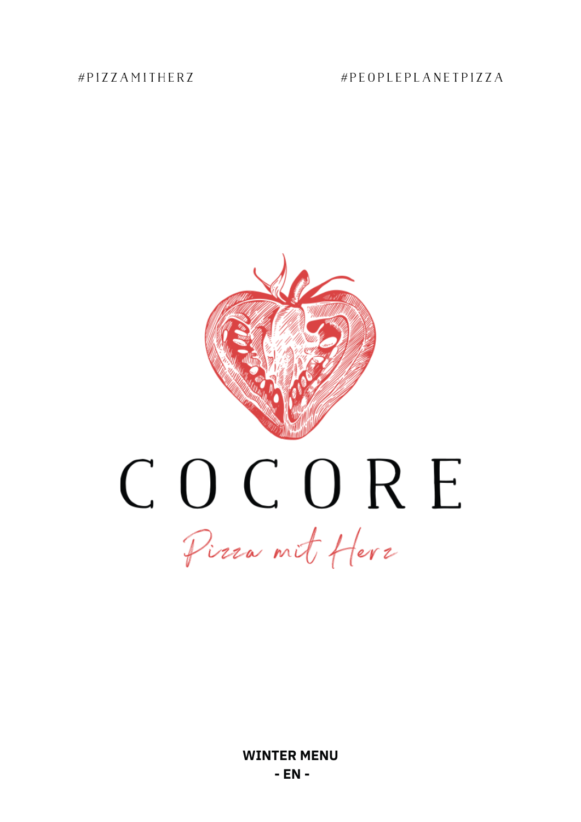#PIZZAMITHERZ

# #PEOPLEPLANETPIZZA

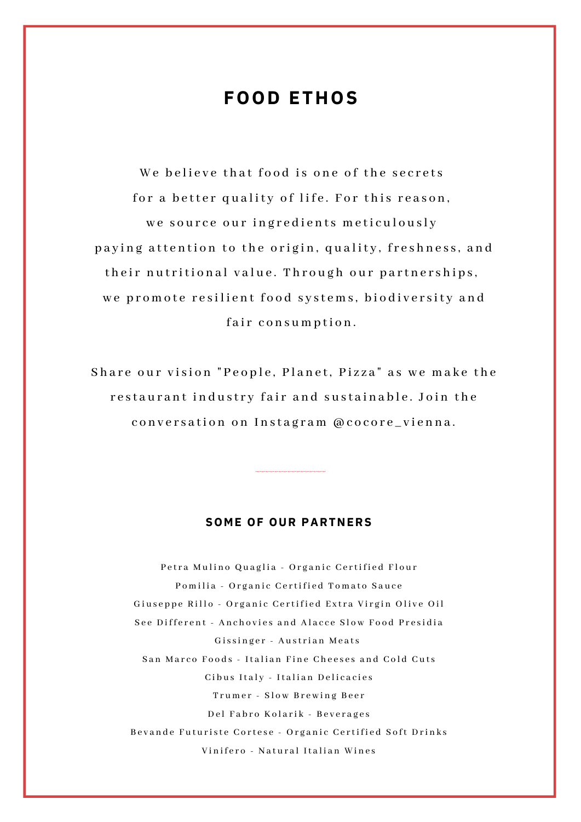# **FOOD ETHOS**

We believe that food is one of the secrets for a better quality of life. For this reason, we source our ingredients meticulously paying attention to the origin, quality, freshness, and their nutritional value. Through our partnerships, we promote resilient food systems, biodiversity and fair consumption.

Share our vision "People, Planet, Pizza" as we make the restaurant industry fair and sustainable. Join the conversation on Instagram @cocore\_vienna.

#### **SOME OF OUR PARTNERS**

Petra Mulino Quaglia - Organic Certified Flour Pomilia - Organic Certified Tomato Sauce Giuseppe Rillo - Organic Certified Extra Virgin Olive Oil See Different - Anchovies and Alacce Slow Food Presidia Gissinger - Austrian Meats San Marco Foods - Italian Fine Cheeses and Cold Cuts Cibus Italy - Italian Delicacies Trumer - Slow Brewing Beer Del Fabro Kolarik - Beverages Bevande Futuriste Cortese - Organic Certified Soft Drinks Vinifero - Natural Italian Wines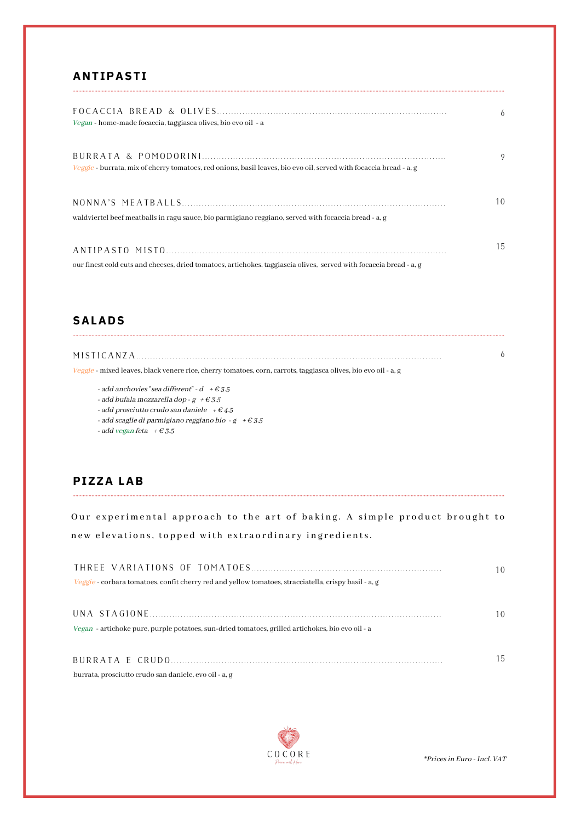#### **ANTIPASTI**

| Vegan - home-made focaccia, taggiasca olives, bio evo oil - a                                                      | 6  |
|--------------------------------------------------------------------------------------------------------------------|----|
| Veggie - burrata, mix of cherry tomatoes, red onions, basil leaves, bio evo oil, served with focaccia bread - a.g. | 9  |
| waldviertel beef meatballs in ragu sauce, bio parmigiano reggiano, served with focaccia bread - a, g               | 10 |
| our finest cold cuts and cheeses, dried tomatoes, artichokes, taggiascia olives, served with focaccia bread - a, g | 15 |

#### **SALADS**

| MISTICANZA                                                                                                     |  |
|----------------------------------------------------------------------------------------------------------------|--|
| Veggie - mixed leaves, black venere rice, cherry tomatoes, corn, carrots, taggiasca olives, bio evo oil - a, g |  |

- add anchovies "sea different" d $~$  +  $\in$  3.5
- add bufala mozzarella dop g +  $\epsilon$  3.5
- add prosciutto crudo san daniele  $+ \epsilon$  4.5
- add scaglie di parmigiano reggiano bio g +  $\epsilon$  3.5

- add vegan feta  $+ \epsilon 3.5$ 

### **PIZZA LAB**

Our experimental approach to the art of baking. A simple product brought to new elevations, topped with extraordinary ingredients.

|                                                                                                      | 10 |
|------------------------------------------------------------------------------------------------------|----|
| Veggie - corbara tomatoes, confit cherry red and yellow tomatoes, stracciatella, crispy basil - a, g |    |
|                                                                                                      |    |
|                                                                                                      | 10 |
| Vegan - artichoke pure, purple potatoes, sun-dried tomatoes, grilled artichokes, bio evo oil - a     |    |
|                                                                                                      |    |
|                                                                                                      | 15 |
| burrata, prosciutto crudo san daniele, evo oil - a, g                                                |    |



\*Prices in Euro - Incl. VAT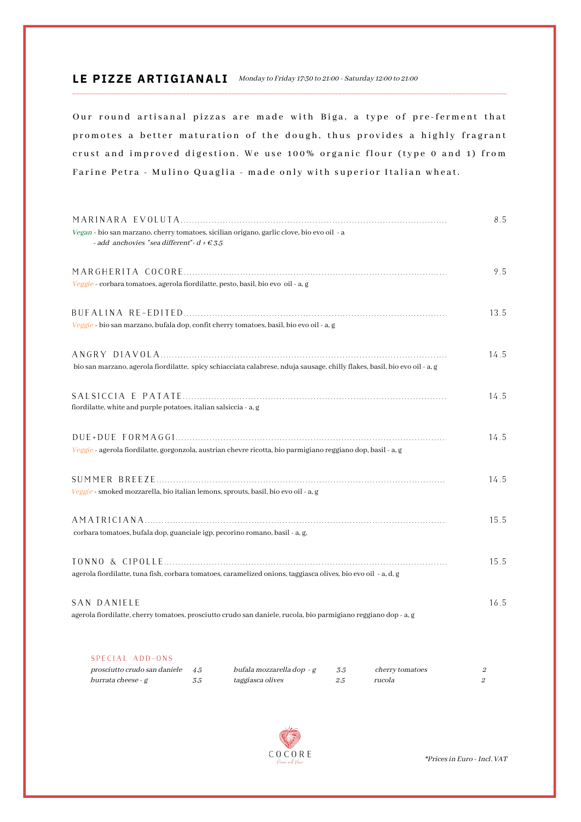#### LE PIZZE ARTIGIANALI Monday to Friday 17:30 to 21:00 - Saturday 12:00 to 21:00

Our round artisanal pizzas are made with Biga, a type of pre-ferment that promotes a better maturation of the dough, thus provides a highly fragrant crust and improved digestion. We use 100% organic flour (type 0 and 1) from Farine Petra - Mulino Quaglia - made only with superior Italian wheat.

| Vegan - bio san marzano, cherry tomatoes, sicilian origano, garlic clove, bio evo oil - a<br>- add anchovies "sea different"- $d$ + $\epsilon$ 3.5 | 8.5  |
|----------------------------------------------------------------------------------------------------------------------------------------------------|------|
| Veggie - corbara tomatoes, agerola fiordilatte, pesto, basil, bio evo oil - a, g                                                                   | 9.5  |
| Veggie - bio san marzano, bufala dop, confit cherry tomatoes, basil, bio evo oil - a, g                                                            | 13.5 |
| bio san marzano, agerola fiordilatte, spicy schiacciata calabrese, nduja sausage, chilly flakes, basil, bio evo oil - a, g                         | 14.5 |
| fiordilatte, white and purple potatoes, italian salsiccia - a, g                                                                                   | 14.5 |
| Veggie - agerola fiordilatte, gorgonzola, austrian chevre ricotta, bio parmigiano reggiano dop, basil - a, g                                       | 14.5 |
| Veggie - smoked mozzarella, bio italian lemons, sprouts, basil, bio evo oil - a, g                                                                 | 14.5 |
| corbara tomatoes, bufala dop, guanciale igp, pecorino romano, basil - a, g,                                                                        | 15.5 |
| agerola fiordilatte, tuna fish, corbara tomatoes, caramelized onions, taggiasca olives, bio evo oil - a, d, g                                      | 15.5 |
| SAN DANIELE<br>agerola fiordilatte, cherry tomatoes, prosciutto crudo san daniele, rucola, bio parmigiano reggiano dop - a, g                      | 16.5 |
| SPECIAL ADD-ONS                                                                                                                                    |      |

| prosciutto crudo san daniele 4.5 |     | bufala mozzarella dop - g | <i>cherry tomatoes</i> |  |
|----------------------------------|-----|---------------------------|------------------------|--|
| burrata cheese - g               | ה כ | <i>taggiasca olives</i>   | rucola                 |  |



 $**Prices* in Euro - Incl.  $VAT$$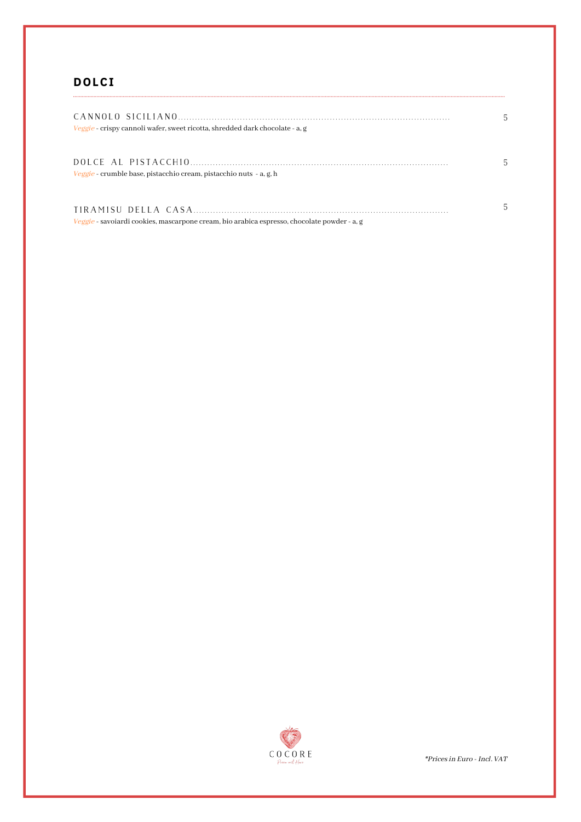# **DOLCI**

| Veggie - crispy cannoli wafer, sweet ricotta, shredded dark chocolate - a, g                | 5. |
|---------------------------------------------------------------------------------------------|----|
| Veggie - crumble base, pistacchio cream, pistacchio nuts - a, g, h                          | 5  |
| Veggie - savoiardi cookies, mascarpone cream, bio arabica espresso, chocolate powder - a, g | 5  |



 $^\ast\!Prices$  in Euro - Incl.  $\mathtt{VAT}$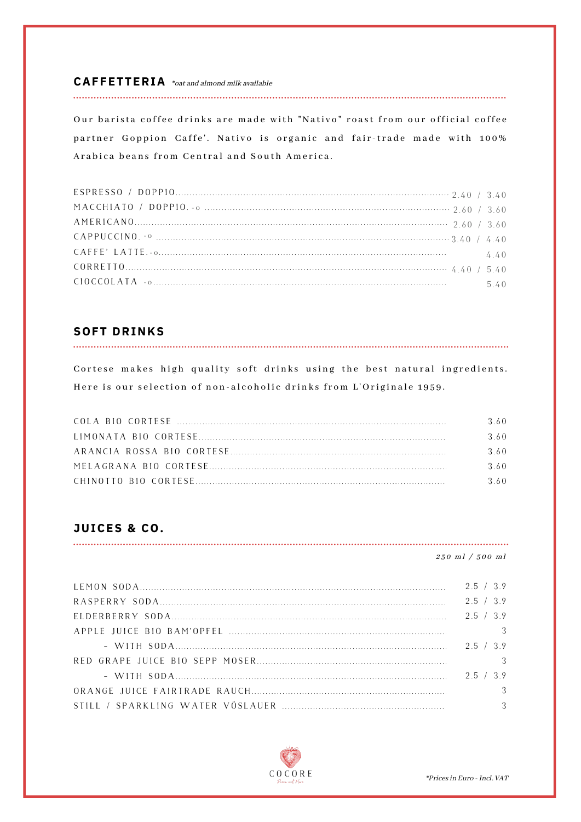#### $CA$  **FFETTERIA** \*oat and almond milk available

Our barista coffee drinks are made with "Nativo" roast from our official coffee partner Goppion Caffe'. Nativo is organic and fair-trade made with 100% Arabica beans from Central and South America.

| CIOCCOLATA - $\circ$ 5.40 |  |
|---------------------------|--|

### **SOFT DRINKS**

Cortese makes high quality soft drinks using the best natural ingredients. Here is our selection of non-alcoholic drinks from L'Originale 1959.

| 360 |
|-----|
| 360 |
| 360 |
| 360 |
| 360 |

### JUICES & CO.

#### $250$  ml  $/500$  ml

| 2.5 / 3.9 |  |
|-----------|--|
| 2.5 / 3.9 |  |
| 2.5 / 3.9 |  |
|           |  |
| 2.5 / 3.9 |  |
|           |  |
|           |  |
|           |  |
|           |  |